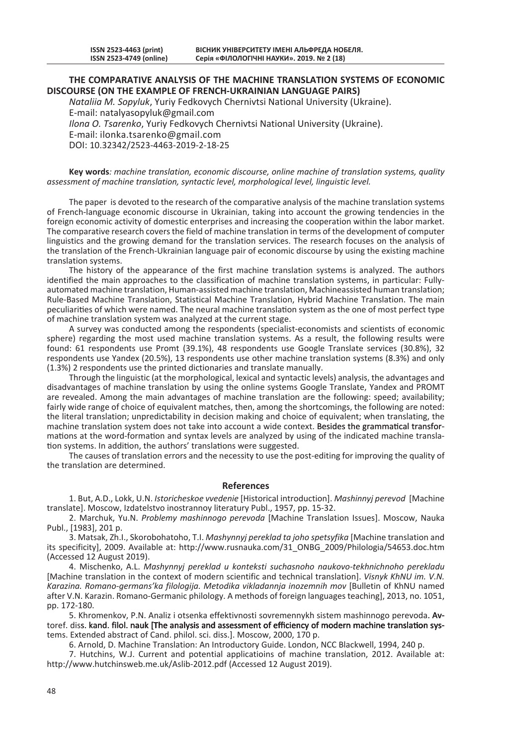## **THE COMPARATIVE ANALYSIS OF THE MACHINE TRANSLATION SYSTEMS OF ECONOMIC DISCOURSE (ON THE EXAMPLE OF FRENCH-UKRAINIAN LANGUAGE PAIRS)**

*Nataliia M. Sopyluk*, Yuriy Fedkovych Chernivtsi National University (Ukraine). E-mail: natalyasopyluk@gmail.com *Ilona O. Tsarenko*, Yuriy Fedkovych Chernivtsi National University (Ukraine).

E-mail: ilonka.tsarenko@gmail.com DOI: 10.32342/2523-4463-2019-2-18-25

**Key words***: machine translation, economic discourse, online machine of translation systems, quality assessment of machine translation, syntactic level, morphological level, linguistic level.*

The paper is devoted to the research of the comparative analysis of the machine translation systems of French-language economic discourse in Ukrainian, taking into account the growing tendencies in the foreign economic activity of domestic enterprises and increasing the cooperation within the labor market. The comparative research covers the field of machine translation in terms of the development of computer linguistics and the growing demand for the translation services. The research focuses on the analysis of the translation of the French-Ukrainian language pair of economic discourse by using the existing machine translation systems.

The history of the appearance of the first machine translation systems is analyzed. The authors identified the main approaches to the classification of machine translation systems, in particular: Fullyautomated machine translation, Human-assisted machine translation, Machineassisted human translation; Rule-Based Machine Translation, Statistical Machine Translation, Hybrid Machine Translation. The main peculiarities of which were named. The neural machine translation system as the one of most perfect type of machine translation system was analyzed at the current stage.

A survey was conducted among the respondents (specialist-economists and scientists of economic sphere) regarding the most used machine translation systems. As a result, the following results were found: 61 respondents use Promt (39.1%), 48 respondents use Google Translate services (30.8%), 32 respondents use Yandex (20.5%), 13 respondents use other machine translation systems (8.3%) and only (1.3%) 2 respondents use the printed dictionaries and translate manually.

Through the linguistic (at the morphological, lexical and syntactic levels) analysis, the advantages and disadvantages of machine translation by using the online systems Google Translate, Yandex and PROMT are revealed. Among the main advantages of machine translation are the following: speed; availability; fairly wide range of choice of equivalent matches, then, among the shortcomings, the following are noted: the literal translation; unpredictability in decision making and choice of equivalent; when translating, the machine translation system does not take into account a wide context. Besides the grammatical transformations at the word-formation and syntax levels are analyzed by using of the indicated machine translation systems. In addition, the authors' translations were suggested.

The causes of translation errors and the necessity to use the post-editing for improving the quality of the translation are determined.

## **References**

1. But, A.D., Lokk, U.N. *Istoricheskoe vvedenie* [Historical introduction]. *Mashinnyj perevod* [Machine translate]. Moscow, Izdatelstvo inostrannoy literatury Publ., 1957, pp. 15-32.

2. Marchuk, Yu.N. *Problemy mashinnogo perevoda* [Machine Translation Issues]. Moscow, Nauka Publ., [1983], 201 p.

3. Matsak, Zh.I., Skorobohatoho, T.I. *Mashynnyj pereklad ta joho spetsyfika* [Machine translation and its specificity], 2009. Available at: http://www.rusnauka.com/31\_ONBG\_2009/Philologia/54653.doc.htm (Accessed 12 August 2019).

4. Mischenko, A.L. *Mashynnyj pereklad u konteksti suchasnoho naukovo-tekhnichnoho perekladu* [Machine translation in the context of modern scientific and technical translation]. *Visnyk KhNU im. V.N. Karazina. Romano-germans'ka fіlologіja. Metodika vikladannja іnozemnih mov* [Bulletin of KhNU named after V.N. Karazin. Romano-Germanic philology. A methods of foreign languages teaching], 2013, no. 1051, pp. 172-180.

5. Khromenkov, P.N. Analiz i otsenka effektivnosti sovremennykh sistem mashinnogo perevoda. Avtoref. diss. kand. filol. nauk [The analysis and assessment of efficiency of modern machine translation systems. Extended abstract of Cand. philol. sci. diss.]. Moscow, 2000, 170 p.

6. Arnold, D. Machine Translation: An Introductory Guide. London, NCC Blackwell, 1994, 240 p.

7. Hutchins, W.J. Current and potential applicatioins of machine translation, 2012. Available at: http://www.hutchinsweb.me.uk/Aslib-2012.pdf (Accessed 12 August 2019).